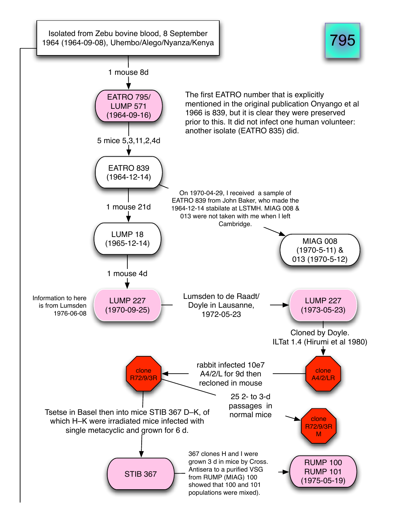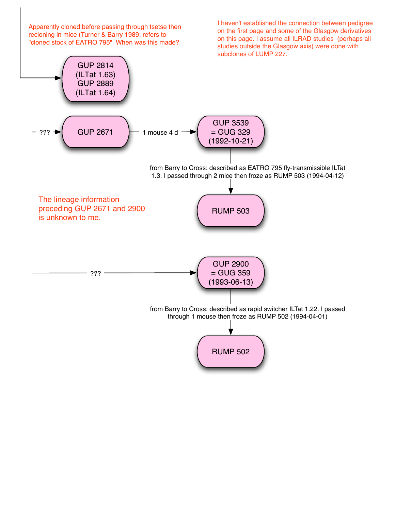